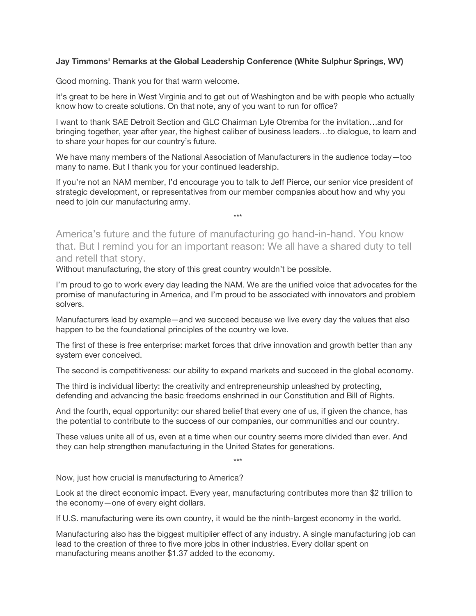## **Jay Timmons' Remarks at the Global Leadership Conference (White Sulphur Springs, WV)**

Good morning. Thank you for that warm welcome.

It's great to be here in West Virginia and to get out of Washington and be with people who actually know how to create solutions. On that note, any of you want to run for office?

I want to thank SAE Detroit Section and GLC Chairman Lyle Otremba for the invitation…and for bringing together, year after year, the highest caliber of business leaders…to dialogue, to learn and to share your hopes for our country's future.

We have many members of the National Association of Manufacturers in the audience today—too many to name. But I thank you for your continued leadership.

If you're not an NAM member, I'd encourage you to talk to Jeff Pierce, our senior vice president of strategic development, or representatives from our member companies about how and why you need to join our manufacturing army.

\*\*\*

America's future and the future of manufacturing go hand-in-hand. You know that. But I remind you for an important reason: We all have a shared duty to tell and retell that story.

Without manufacturing, the story of this great country wouldn't be possible.

I'm proud to go to work every day leading the NAM. We are the unified voice that advocates for the promise of manufacturing in America, and I'm proud to be associated with innovators and problem solvers.

Manufacturers lead by example—and we succeed because we live every day the values that also happen to be the foundational principles of the country we love.

The first of these is free enterprise: market forces that drive innovation and growth better than any system ever conceived.

The second is competitiveness: our ability to expand markets and succeed in the global economy.

The third is individual liberty: the creativity and entrepreneurship unleashed by protecting, defending and advancing the basic freedoms enshrined in our Constitution and Bill of Rights.

And the fourth, equal opportunity: our shared belief that every one of us, if given the chance, has the potential to contribute to the success of our companies, our communities and our country.

These values unite all of us, even at a time when our country seems more divided than ever. And they can help strengthen manufacturing in the United States for generations.

\*\*\*

Now, just how crucial is manufacturing to America?

Look at the direct economic impact. Every year, manufacturing contributes more than \$2 trillion to the economy—one of every eight dollars.

If U.S. manufacturing were its own country, it would be the ninth-largest economy in the world.

Manufacturing also has the biggest multiplier effect of any industry. A single manufacturing job can lead to the creation of three to five more jobs in other industries. Every dollar spent on manufacturing means another \$1.37 added to the economy.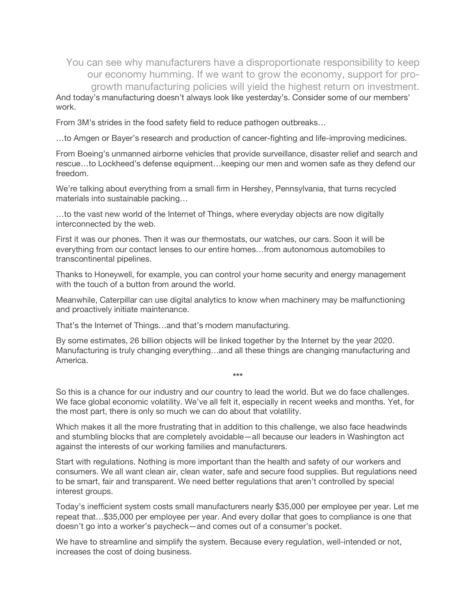You can see why manufacturers have a disproportionate responsibility to keep our economy humming. If we want to grow the economy, support for progrowth manufacturing policies will yield the highest return on investment.

And today's manufacturing doesn't always look like yesterday's. Consider some of our members' work.

From 3M's strides in the food safety field to reduce pathogen outbreaks…

…to Amgen or Bayer's research and production of cancer-fighting and life-improving medicines.

From Boeing's unmanned airborne vehicles that provide surveillance, disaster relief and search and rescue…to Lockheed's defense equipment…keeping our men and women safe as they defend our freedom.

We're talking about everything from a small firm in Hershey, Pennsylvania, that turns recycled materials into sustainable packing…

…to the vast new world of the Internet of Things, where everyday objects are now digitally interconnected by the web.

First it was our phones. Then it was our thermostats, our watches, our cars. Soon it will be everything from our contact lenses to our entire homes…from autonomous automobiles to transcontinental pipelines.

Thanks to Honeywell, for example, you can control your home security and energy management with the touch of a button from around the world.

Meanwhile, Caterpillar can use digital analytics to know when machinery may be malfunctioning and proactively initiate maintenance.

That's the Internet of Things…and that's modern manufacturing.

By some estimates, 26 billion objects will be linked together by the Internet by the year 2020. Manufacturing is truly changing everything…and all these things are changing manufacturing and America.

So this is a chance for our industry and our country to lead the world. But we do face challenges. We face global economic volatility. We've all felt it, especially in recent weeks and months. Yet, for the most part, there is only so much we can do about that volatility.

**\*\*\***

Which makes it all the more frustrating that in addition to this challenge, we also face headwinds and stumbling blocks that are completely avoidable—all because our leaders in Washington act against the interests of our working families and manufacturers.

Start with regulations. Nothing is more important than the health and safety of our workers and consumers. We all want clean air, clean water, safe and secure food supplies. But regulations need to be smart, fair and transparent. We need better regulations that aren't controlled by special interest groups.

Today's inefficient system costs small manufacturers nearly \$35,000 per employee per year. Let me repeat that…\$35,000 per employee per year. And every dollar that goes to compliance is one that doesn't go into a worker's paycheck—and comes out of a consumer's pocket.

We have to streamline and simplify the system. Because every regulation, well-intended or not, increases the cost of doing business.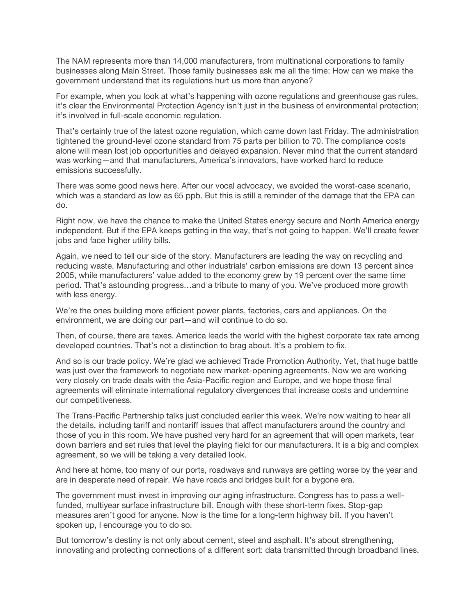The NAM represents more than 14,000 manufacturers, from multinational corporations to family businesses along Main Street. Those family businesses ask me all the time: How can we make the government understand that its regulations hurt us more than anyone?

For example, when you look at what's happening with ozone regulations and greenhouse gas rules, it's clear the Environmental Protection Agency isn't just in the business of environmental protection; it's involved in full-scale economic regulation.

That's certainly true of the latest ozone regulation, which came down last Friday. The administration tightened the ground-level ozone standard from 75 parts per billion to 70. The compliance costs alone will mean lost job opportunities and delayed expansion. Never mind that the current standard was working—and that manufacturers, America's innovators, have worked hard to reduce emissions successfully.

There was some good news here. After our vocal advocacy, we avoided the worst-case scenario, which was a standard as low as 65 ppb. But this is still a reminder of the damage that the EPA can do.

Right now, we have the chance to make the United States energy secure and North America energy independent. But if the EPA keeps getting in the way, that's not going to happen. We'll create fewer jobs and face higher utility bills.

Again, we need to tell our side of the story. Manufacturers are leading the way on recycling and reducing waste. Manufacturing and other industrials' carbon emissions are down 13 percent since 2005, while manufacturers' value added to the economy grew by 19 percent over the same time period. That's astounding progress…and a tribute to many of you. We've produced more growth with less energy.

We're the ones building more efficient power plants, factories, cars and appliances. On the environment, we are doing our part—and will continue to do so.

Then, of course, there are taxes. America leads the world with the highest corporate tax rate among developed countries. That's not a distinction to brag about. It's a problem to fix.

And so is our trade policy. We're glad we achieved Trade Promotion Authority. Yet, that huge battle was just over the framework to negotiate new market-opening agreements. Now we are working very closely on trade deals with the Asia-Pacific region and Europe, and we hope those final agreements will eliminate international regulatory divergences that increase costs and undermine our competitiveness.

The Trans-Pacific Partnership talks just concluded earlier this week. We're now waiting to hear all the details, including tariff and nontariff issues that affect manufacturers around the country and those of you in this room. We have pushed very hard for an agreement that will open markets, tear down barriers and set rules that level the playing field for our manufacturers. It is a big and complex agreement, so we will be taking a very detailed look.

And here at home, too many of our ports, roadways and runways are getting worse by the year and are in desperate need of repair. We have roads and bridges built for a bygone era.

The government must invest in improving our aging infrastructure. Congress has to pass a wellfunded, multiyear surface infrastructure bill. Enough with these short-term fixes. Stop-gap measures aren't good for anyone. Now is the time for a long-term highway bill. If you haven't spoken up, I encourage you to do so.

But tomorrow's destiny is not only about cement, steel and asphalt. It's about strengthening, innovating and protecting connections of a different sort: data transmitted through broadband lines.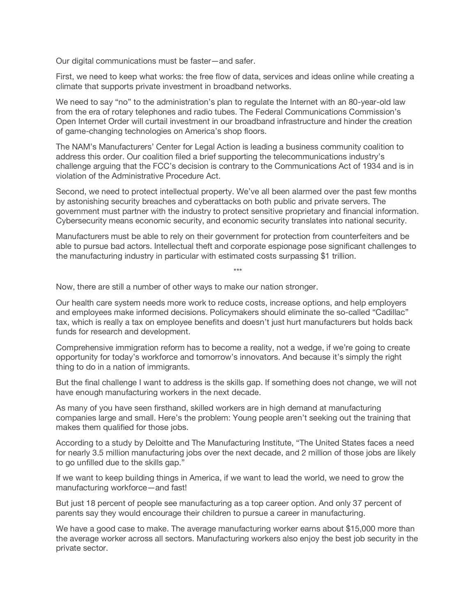Our digital communications must be faster—and safer.

First, we need to keep what works: the free flow of data, services and ideas online while creating a climate that supports private investment in broadband networks.

We need to say "no" to the administration's plan to regulate the Internet with an 80-year-old law from the era of rotary telephones and radio tubes. The Federal Communications Commission's Open Internet Order will curtail investment in our broadband infrastructure and hinder the creation of game-changing technologies on America's shop floors.

The NAM's Manufacturers' Center for Legal Action is leading a business community coalition to address this order. Our coalition filed a brief supporting the telecommunications industry's challenge arguing that the FCC's decision is contrary to the Communications Act of 1934 and is in violation of the Administrative Procedure Act.

Second, we need to protect intellectual property. We've all been alarmed over the past few months by astonishing security breaches and cyberattacks on both public and private servers. The government must partner with the industry to protect sensitive proprietary and financial information. Cybersecurity means economic security, and economic security translates into national security.

Manufacturers must be able to rely on their government for protection from counterfeiters and be able to pursue bad actors. Intellectual theft and corporate espionage pose significant challenges to the manufacturing industry in particular with estimated costs surpassing \$1 trillion.

\*\*\*

Now, there are still a number of other ways to make our nation stronger.

Our health care system needs more work to reduce costs, increase options, and help employers and employees make informed decisions. Policymakers should eliminate the so-called "Cadillac" tax, which is really a tax on employee benefits and doesn't just hurt manufacturers but holds back funds for research and development.

Comprehensive immigration reform has to become a reality, not a wedge, if we're going to create opportunity for today's workforce and tomorrow's innovators. And because it's simply the right thing to do in a nation of immigrants.

But the final challenge I want to address is the skills gap. If something does not change, we will not have enough manufacturing workers in the next decade.

As many of you have seen firsthand, skilled workers are in high demand at manufacturing companies large and small. Here's the problem: Young people aren't seeking out the training that makes them qualified for those jobs.

According to a study by Deloitte and The Manufacturing Institute, "The United States faces a need for nearly 3.5 million manufacturing jobs over the next decade, and 2 million of those jobs are likely to go unfilled due to the skills gap."

If we want to keep building things in America, if we want to lead the world, we need to grow the manufacturing workforce—and fast!

But just 18 percent of people see manufacturing as a top career option. And only 37 percent of parents say they would encourage their children to pursue a career in manufacturing.

We have a good case to make. The average manufacturing worker earns about \$15,000 more than the average worker across all sectors. Manufacturing workers also enjoy the best job security in the private sector.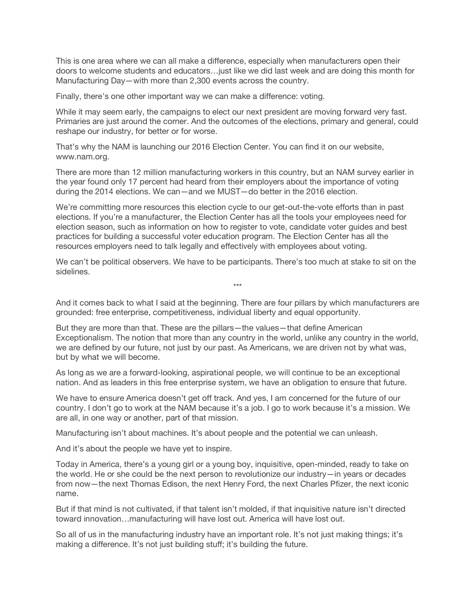This is one area where we can all make a difference, especially when manufacturers open their doors to welcome students and educators…just like we did last week and are doing this month for Manufacturing Day—with more than 2,300 events across the country.

Finally, there's one other important way we can make a difference: voting.

While it may seem early, the campaigns to elect our next president are moving forward very fast. Primaries are just around the corner. And the outcomes of the elections, primary and general, could reshape our industry, for better or for worse.

That's why the NAM is launching our 2016 Election Center. You can find it on our website, www.nam.org.

There are more than 12 million manufacturing workers in this country, but an NAM survey earlier in the year found only 17 percent had heard from their employers about the importance of voting during the 2014 elections. We can—and we MUST—do better in the 2016 election.

We're committing more resources this election cycle to our get-out-the-vote efforts than in past elections. If you're a manufacturer, the Election Center has all the tools your employees need for election season, such as information on how to register to vote, candidate voter guides and best practices for building a successful voter education program. The Election Center has all the resources employers need to talk legally and effectively with employees about voting.

We can't be political observers. We have to be participants. There's too much at stake to sit on the sidelines.

\*\*\*

And it comes back to what I said at the beginning. There are four pillars by which manufacturers are grounded: free enterprise, competitiveness, individual liberty and equal opportunity.

But they are more than that. These are the pillars—the values—that define American Exceptionalism. The notion that more than any country in the world, unlike any country in the world, we are defined by our future, not just by our past. As Americans, we are driven not by what was, but by what we will become.

As long as we are a forward-looking, aspirational people, we will continue to be an exceptional nation. And as leaders in this free enterprise system, we have an obligation to ensure that future.

We have to ensure America doesn't get off track. And yes, I am concerned for the future of our country. I don't go to work at the NAM because it's a job. I go to work because it's a mission. We are all, in one way or another, part of that mission.

Manufacturing isn't about machines. It's about people and the potential we can unleash.

And it's about the people we have yet to inspire.

Today in America, there's a young girl or a young boy, inquisitive, open-minded, ready to take on the world. He or she could be the next person to revolutionize our industry—in years or decades from now—the next Thomas Edison, the next Henry Ford, the next Charles Pfizer, the next iconic name.

But if that mind is not cultivated, if that talent isn't molded, if that inquisitive nature isn't directed toward innovation…manufacturing will have lost out. America will have lost out.

So all of us in the manufacturing industry have an important role. It's not just making things; it's making a difference. It's not just building stuff; it's building the future.